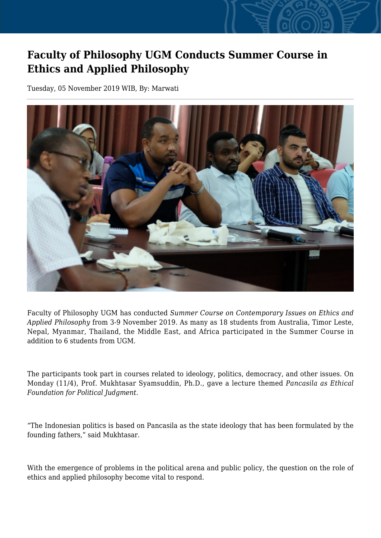## **Faculty of Philosophy UGM Conducts Summer Course in Ethics and Applied Philosophy**

Tuesday, 05 November 2019 WIB, By: Marwati



Faculty of Philosophy UGM has conducted *Summer Course on Contemporary Issues on Ethics and Applied Philosophy* from 3-9 November 2019. As many as 18 students from Australia, Timor Leste, Nepal, Myanmar, Thailand, the Middle East, and Africa participated in the Summer Course in addition to 6 students from UGM.

The participants took part in courses related to ideology, politics, democracy, and other issues. On Monday (11/4), Prof. Mukhtasar Syamsuddin, Ph.D., gave a lecture themed *Pancasila as Ethical Foundation for Political Judgment*.

"The Indonesian politics is based on Pancasila as the state ideology that has been formulated by the founding fathers," said Mukhtasar.

With the emergence of problems in the political arena and public policy, the question on the role of ethics and applied philosophy become vital to respond.